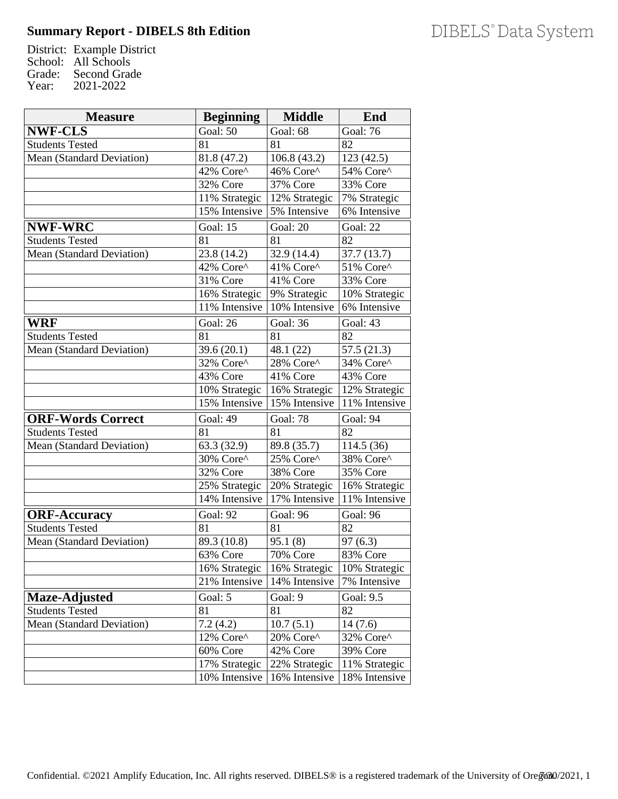## **Summary Report - DIBELS 8th Edition**

District: Example District School: All Schools Grade: Second Grade<br>Year: 2021-2022 Year: 2021-2022

| <b>Measure</b>                   | <b>Beginning</b>            | <b>Middle</b>               | End                        |
|----------------------------------|-----------------------------|-----------------------------|----------------------------|
| <b>NWF-CLS</b>                   | Goal: 50                    | Goal: $68$                  | Goal: $76$                 |
| <b>Students Tested</b>           | 81                          | 81                          | 82                         |
| Mean (Standard Deviation)        | 81.8 (47.2)                 | 106.8(43.2)                 | 123(42.5)                  |
|                                  | 42% Core^                   | 46% Core^                   | 54% Core^                  |
|                                  | 32% Core                    | 37% Core                    | 33% Core                   |
|                                  | 11% Strategic               | 12% Strategic               | 7% Strategic               |
|                                  | 15% Intensive               | 5% Intensive                | 6% Intensive               |
| <b>NWF-WRC</b>                   | Goal: 15                    | Goal: 20                    | Goal: 22                   |
| <b>Students Tested</b>           | 81                          | 81                          | 82                         |
| Mean (Standard Deviation)        | 23.8 (14.2)                 | 32.9 (14.4)                 | 37.7(13.7)                 |
|                                  | 42% Core^                   | 41% Core^                   | 51% Core^                  |
|                                  | 31% Core                    | $\overline{41\%}$ Core      | <b>33% Core</b>            |
|                                  | 16% Strategic               | 9% Strategic                | 10% Strategic              |
|                                  | 11% Intensive               | $\overline{10\%}$ Intensive | $\overline{6\%}$ Intensive |
| <b>WRF</b>                       | <b>Goal: 26</b>             | Goal: 36                    | Goal: 43                   |
| <b>Students Tested</b>           | 81                          | 81                          | 82                         |
| Mean (Standard Deviation)        | 39.6(20.1)                  | 48.1 (22)                   | 57.5(21.3)                 |
|                                  | 32% Core^                   | 28% Core^                   | 34% Core^                  |
|                                  | 43% Core                    | 41% Core                    | 43% Core                   |
|                                  | 10% Strategic               | $\sqrt{16\%}$ Strategic     | 12% Strategic              |
|                                  | 15% Intensive               | 15% Intensive               | 11% Intensive              |
| <b>ORF-Words Correct</b>         | Goal: $\overline{49}$       | Goal: 78                    | Goal: 94                   |
| <b>Students Tested</b>           | 81                          | 81                          | $\overline{82}$            |
| <b>Mean (Standard Deviation)</b> | 63.3 (32.9)                 | 89.8 (35.7)                 | 114.5 (36)                 |
|                                  | 30% Core^                   | 25% Core^                   | 38% Core^                  |
|                                  | 32% Core                    | 38% Core                    | 35% Core                   |
|                                  | 25% Strategic               | 20% Strategic               | 16% Strategic              |
|                                  | $\overline{14\%}$ Intensive | 17% Intensive               | 11% Intensive              |
| <b>ORF-Accuracy</b>              | Goal: 92                    | Goal: 96                    | Goal: 96                   |
| <b>Students Tested</b>           | 81                          | 81                          | 82                         |
| Mean (Standard Deviation)        | 89.3 (10.8)                 | 95.1(8)                     | 97(6.3)                    |
|                                  | 63% Core                    | 70% Core                    | 83% Core                   |
|                                  | 16% Strategic               | 16% Strategic               | 10% Strategic              |
|                                  | $\overline{21}\%$ Intensive | 14% Intensive               | 7% Intensive               |
| Maze-Adjusted                    | Goal: 5                     | Goal: 9                     | <b>Goal: 9.5</b>           |
| <b>Students Tested</b>           | 81                          | 81                          | 82                         |
| Mean (Standard Deviation)        | 7.2(4.2)                    | 10.7(5.1)                   | 14(7.6)                    |
|                                  | 12% Core^                   | 20% Core^                   | 32% Core^                  |
|                                  | 60% Core                    | 42% Core                    | 39% Core                   |
|                                  | 17% Strategic               | 22% Strategic               | 11% Strategic              |
|                                  | 10% Intensive               | 16% Intensive               | 18% Intensive              |